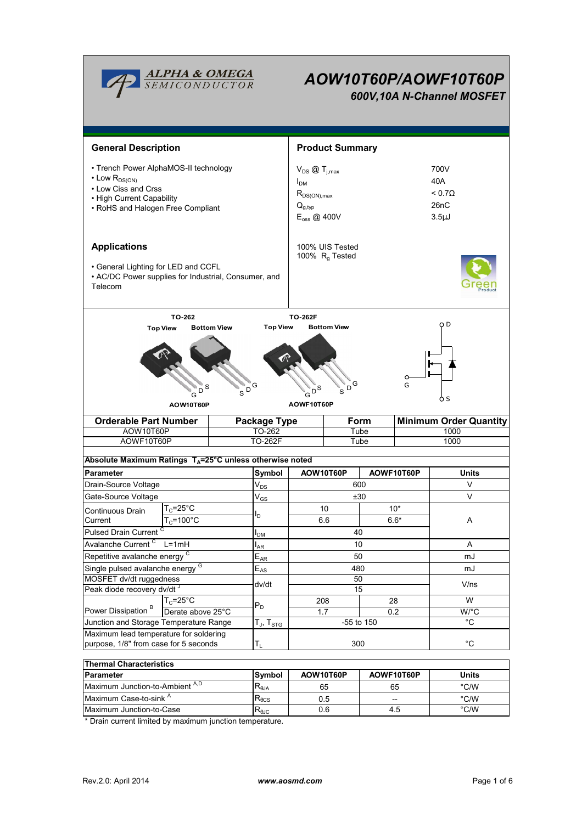

# *AOW10T60P/AOWF10T60P*

*600V,10A N-Channel MOSFET*



| Thermal Unaracteristics                    |                 |           |            |               |  |  |  |  |
|--------------------------------------------|-----------------|-----------|------------|---------------|--|--|--|--|
| Parameter                                  | Symbol          | AOW10T60P | AOWF10T60P | <b>Units</b>  |  |  |  |  |
| Maximum Junction-to-Ambient <sup>A,D</sup> | $R_{0,IA}$      | 65        | 65         | °C/W          |  |  |  |  |
| Maximum Case-to-sink <sup>A</sup>          | $R_{\theta}$ CS | 0.5       | $- -$      | $\degree$ C/W |  |  |  |  |
| Maximum Junction-to-Case                   | $R_{0,IC}$      | 0.6       | 4.5        | $\degree$ C/W |  |  |  |  |

\* Drain current limited by maximum junction temperature.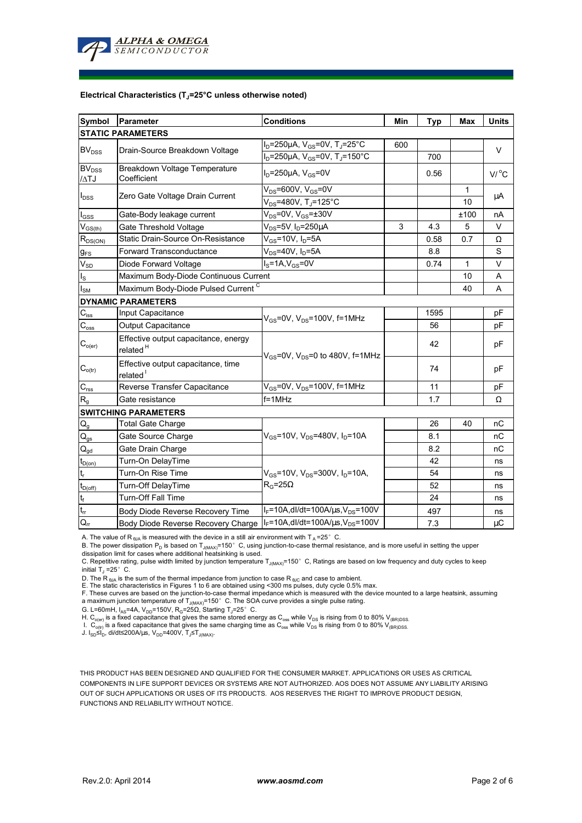

#### **Electrical Characteristics (TJ=25°C unless otherwise noted)**

| Symbol                                 | Parameter                                                    | <b>Conditions</b>                                                 | Min | Typ  | Max  | <b>Units</b>    |  |  |  |
|----------------------------------------|--------------------------------------------------------------|-------------------------------------------------------------------|-----|------|------|-----------------|--|--|--|
| <b>STATIC PARAMETERS</b>               |                                                              |                                                                   |     |      |      |                 |  |  |  |
| <b>BV<sub>DSS</sub></b>                | Drain-Source Breakdown Voltage                               | $I_D$ =250µA, $V_{GS}$ =0V, T <sub>J</sub> =25°C                  | 600 |      |      | V               |  |  |  |
|                                        |                                                              | I <sub>D</sub> =250µA, V <sub>GS</sub> =0V, T <sub>J</sub> =150°C |     | 700  |      |                 |  |  |  |
| BV <sub>DSS</sub><br>/ATJ              | Breakdown Voltage Temperature<br>Coefficient                 | $ID=250\mu A$ , $VGS=0V$                                          |     | 0.56 |      | $V/{}^{\circ}C$ |  |  |  |
| $I_{\text{DSS}}$                       | Zero Gate Voltage Drain Current                              | $V_{DS}$ =600V, V <sub>GS</sub> =0V                               |     |      | 1    |                 |  |  |  |
|                                        |                                                              | $V_{DS}$ =480V, T <sub>J</sub> =125°C                             |     |      | 10   | μA              |  |  |  |
| $I_{GSS}$                              | Gate-Body leakage current                                    | $V_{DS}$ =0V, $V_{GS}$ = $\pm$ 30V                                |     |      | ±100 | nA              |  |  |  |
| $V_{GS(th)}$                           | Gate Threshold Voltage                                       | V <sub>DS</sub> =5V <sub>.</sub> I <sub>D</sub> =250µA            | 3   | 4.3  | 5    | V               |  |  |  |
| $R_{DS(ON)}$                           | Static Drain-Source On-Resistance                            | $V_{GS}$ =10V, $I_D$ =5A                                          |     | 0.58 | 0.7  | Ω               |  |  |  |
| $g_{FS}$                               | <b>Forward Transconductance</b>                              | $V_{DS}$ =40V, $I_D$ =5A                                          |     | 8.8  |      | S               |  |  |  |
| $V_{SD}$                               | Diode Forward Voltage                                        | $IS=1A, VGS=0V$                                                   |     | 0.74 | 1    | V               |  |  |  |
| $\mathsf{I}_\mathsf{S}$                | Maximum Body-Diode Continuous Current                        |                                                                   |     |      | 10   | A               |  |  |  |
| $I_{\rm SM}$                           | Maximum Body-Diode Pulsed Current C                          |                                                                   |     |      | 40   | A               |  |  |  |
|                                        | <b>DYNAMIC PARAMETERS</b>                                    |                                                                   |     |      |      |                 |  |  |  |
| $C_{\text{iss}}$                       | Input Capacitance                                            | $V_{GS}$ =0V, $V_{DS}$ =100V, f=1MHz                              |     | 1595 |      | рF              |  |  |  |
| $C_{\underline{\text{oss}}}$           | Output Capacitance                                           |                                                                   |     | 56   |      | рF              |  |  |  |
| $C_{o(er)}$                            | Effective output capacitance, energy<br>related <sup>H</sup> | $V_{GS}$ =0V, $V_{DS}$ =0 to 480V, f=1MHz                         |     | 42   |      | pF              |  |  |  |
| $C_{o(tr)}$                            | Effective output capacitance, time<br>related <sup>1</sup>   |                                                                   |     | 74   |      | рF              |  |  |  |
| $C_{rss}$                              | Reverse Transfer Capacitance                                 | $V_{GS}$ =0V, $V_{DS}$ =100V, f=1MHz                              |     | 11   |      | pF              |  |  |  |
| $R_{q}$                                | Gate resistance                                              | f=1MHz                                                            |     | 1.7  |      | Ω               |  |  |  |
|                                        | <b>SWITCHING PARAMETERS</b>                                  |                                                                   |     |      |      |                 |  |  |  |
| $\mathsf{Q}_{\underline{\mathsf{g}}}$  | <b>Total Gate Charge</b>                                     |                                                                   |     | 26   | 40   | nС              |  |  |  |
| $\mathsf{Q}_{\mathsf{gs}}$             | Gate Source Charge                                           | $V_{GS}$ =10V, $V_{DS}$ =480V, $I_{D}$ =10A                       |     | 8.1  |      | nС              |  |  |  |
| $\mathsf{Q}_{\underline{\mathsf{gd}}}$ | Gate Drain Charge                                            |                                                                   |     | 8.2  |      | nС              |  |  |  |
| $t_{D(0n)}$                            | Turn-On DelayTime                                            |                                                                   |     | 42   |      | ns              |  |  |  |
| $t_r$                                  | Turn-On Rise Time                                            | $V_{GS}$ =10V, $V_{DS}$ =300V, $I_{D}$ =10A,                      |     | 54   |      | ns              |  |  |  |
| $t_{D(off)}$                           | Turn-Off DelayTime                                           | $R_G = 25\Omega$                                                  |     | 52   |      | ns              |  |  |  |
|                                        | <b>Turn-Off Fall Time</b>                                    |                                                                   |     | 24   |      | ns              |  |  |  |
| $\frac{t_f}{t_{rr}}$                   | Body Diode Reverse Recovery Time                             | $I_F = 10A$ , dl/dt=100A/ $\mu$ s, V <sub>DS</sub> =100V          |     | 497  |      | ns              |  |  |  |
| $Q_{rr}$                               | Body Diode Reverse Recovery Charge                           | $I_F = 10A$ , dl/dt=100A/ $\mu$ s, V <sub>DS</sub> =100V          |     | 7.3  |      | $\mu$ C         |  |  |  |

A. The value of R  $_{\theta$ JA is measured with the device in a still air environment with T  $_{\text{A}}$  = 25° C.

B. The power dissipation P<sub>D</sub> is based on T<sub>J(MAX)</sub>=150°C, using junction-to-case thermal resistance, and is more useful in setting the upper<br>dissipation limit for cases where additional heatsinking is used.

C. Repetitive rating, pulse width limited by junction temperature  $T_{J(MAX)}$ =150°C, Ratings are based on low frequency and duty cycles to keep initial  $T_J = 25^\circ$  C.

D. The R <sub>вJA</sub> is the sum of the thermal impedance from junction to case R <sub>вJC</sub> and case to ambient.<br>E. The static characteristics in Figures 1 to 6 are obtained using <300 ms pulses, duty cycle 0.5% max.

F. These curves are based on the junction-to-case thermal impedance which is measured with the device mounted to a large heatsink, assuming<br>a maximum junction temperature of T<sub>J(MAX)</sub>=150° C. The SOA curve provides a singl

G. L=60mH, I<sub>AS</sub>=4A, V<sub>DD</sub>=150V, R<sub>G</sub>=25Ω, Starting T<sub>J</sub>=25°C.

H. C<sub>o(er)</sub> is a fixed capacitance that gives the same stored energy as C<sub>oss</sub> while V<sub>DS</sub> is rising from 0 to 80% V<sub>(BR)DSS.</sub><br>I. C<sub>o(tr)</sub> is a fixed capacitance that gives the same charging time as C<sub>oss</sub> while V<sub>DS</sub> is

J. I<sub>SD</sub>≤I<sub>D</sub>, di/dt≤200A/μs, V<sub>DD</sub>=400V, T<sub>J</sub>≤T<sub>J(MAX)</sub>.

THIS PRODUCT HAS BEEN DESIGNED AND QUALIFIED FOR THE CONSUMER MARKET. APPLICATIONS OR USES AS CRITICAL COMPONENTS IN LIFE SUPPORT DEVICES OR SYSTEMS ARE NOT AUTHORIZED. AOS DOES NOT ASSUME ANY LIABILITY ARISING OUT OF SUCH APPLICATIONS OR USES OF ITS PRODUCTS. AOS RESERVES THE RIGHT TO IMPROVE PRODUCT DESIGN, FUNCTIONS AND RELIABILITY WITHOUT NOTICE.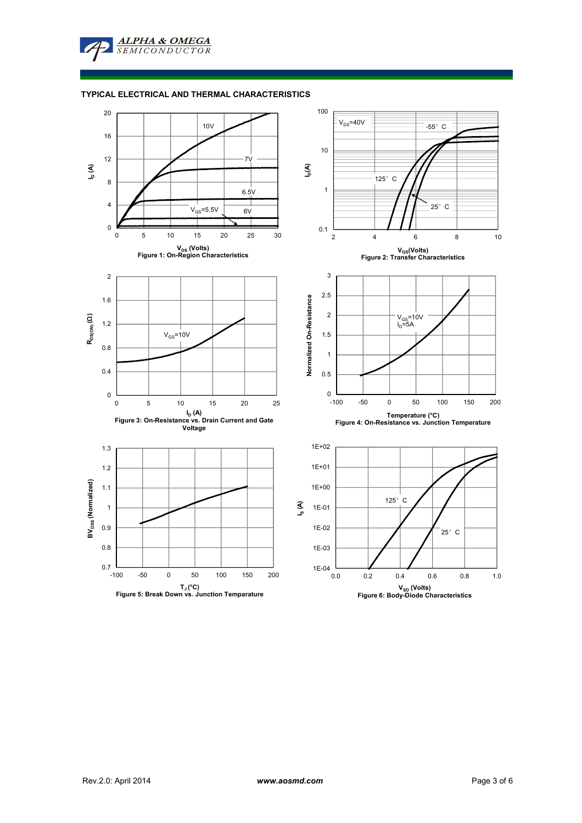

### **TYPICAL ELECTRICAL AND THERMAL CHARACTERISTICS**

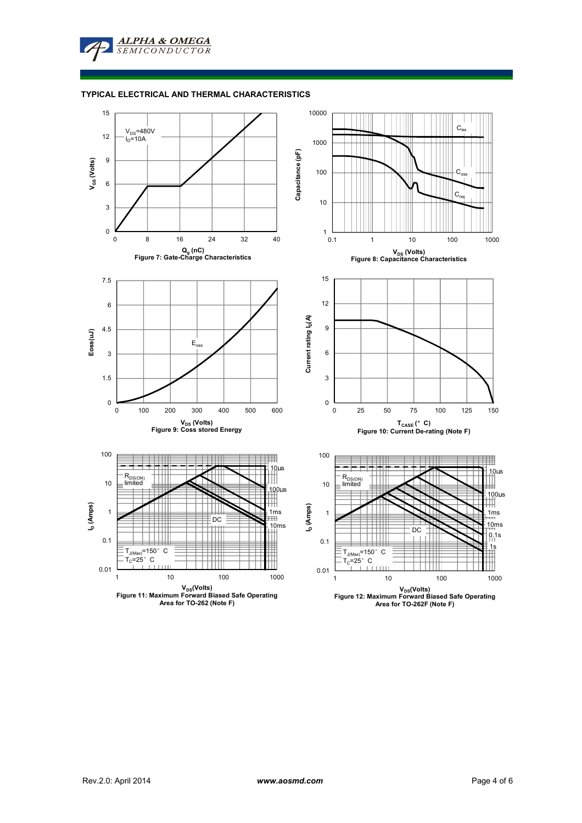

#### **TYPICAL ELECTRICAL AND THERMAL CHARACTERISTICS**

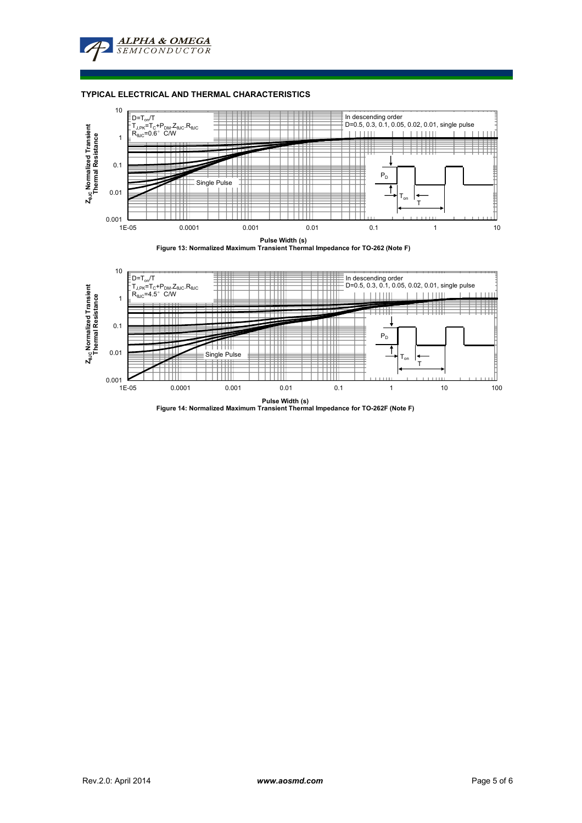

#### **TYPICAL ELECTRICAL AND THERMAL CHARACTERISTICS**